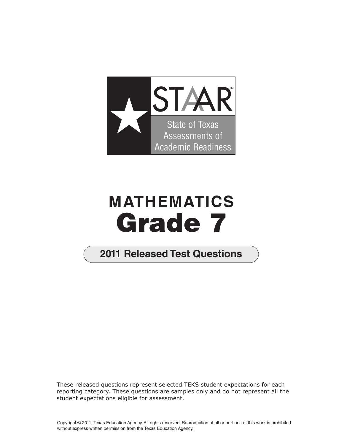

## **MATHEMATICS Grade 7**

## **2011 2011 Released Test Questions**

These released questions represent selected TEKS student expectations for each reporting category. These questions are samples only and do not represent all the student expectations eligible for assessment.

Copyright © 2011, Texas Education Agency. All rights reserved. Reproduction of all or portions of this work is prohibited without express written permission from the Texas Education Agency.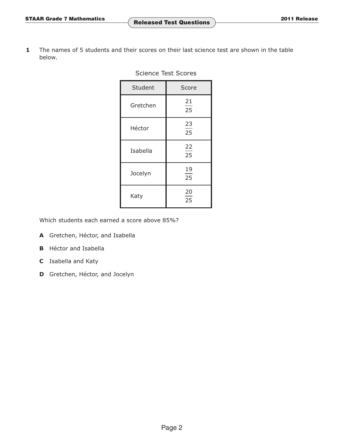**1** The names of 5 students and their scores on their last science test are shown in the table below.

| Student  | Score    |
|----------|----------|
| Gretchen | 21<br>25 |
| Héctor   | 23<br>25 |
| Isabella | 22<br>25 |
| Jocelyn  | 19<br>25 |
| Katy     | 20<br>25 |

Science Test Scores

Which students each earned a score above 85%?

- **A** Gretchen, Héctor, and Isabella
- **B** Héctor and Isabella
- **C** Isabella and Katy
- **D** Gretchen, Héctor, and Jocelyn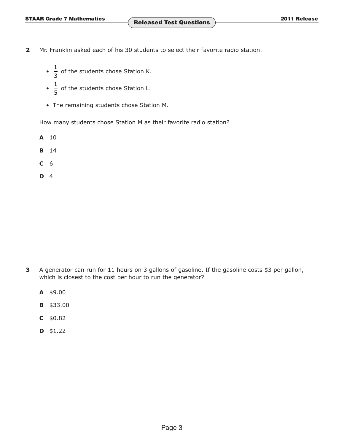- **2** Mr. Franklin asked each of his 30 students to select their favorite radio station.
	- $\frac{1}{3}$  of the students chose Station K.
	- $\frac{1}{5}$  of the students chose Station L.
	- The remaining students chose Station M.

How many students chose Station M as their favorite radio station?

- **A** 10
- **B** 14
- **C** 6
- **D** 4

- **3** A generator can run for 11 hours on 3 gallons of gasoline. If the gasoline costs \$3 per gallon, which is closest to the cost per hour to run the generator?
	- **A** \$9.00
	- **B** \$33.00
	- **C** \$0.82
	- **D** \$1.22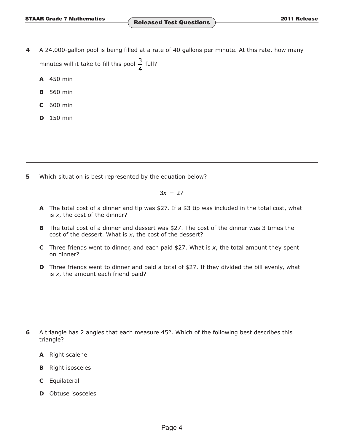- **4** A 24,000-gallon pool is being filled at a rate of 40 gallons per minute. At this rate, how many minutes will it take to fill this pool  $\frac{3}{4}$  full?
	- **A** 450 min
	- **B** 560 min
	- **C** 600 min
	- **D** 150 min

**5** Which situation is best represented by the equation below?

 $3x = 27$ 

- **A** The total cost of a dinner and tip was \$27. If a \$3 tip was included in the total cost, what is *x*, the cost of the dinner?
- **B** The total cost of a dinner and dessert was \$27. The cost of the dinner was 3 times the cost of the dessert. What is *x*, the cost of the dessert?
- **C** Three friends went to dinner, and each paid  $$27$ . What is *x*, the total amount they spent on dinner?
- **D** Three friends went to dinner and paid a total of \$27. If they divided the bill evenly, what is *x*, the amount each friend paid?

- **6** A triangle has 2 angles that each measure 45°. Which of the following best describes this triangle?
	- **A** Right scalene
	- **B** Right isosceles
	- **C** Equilateral
	- **D** Obtuse isosceles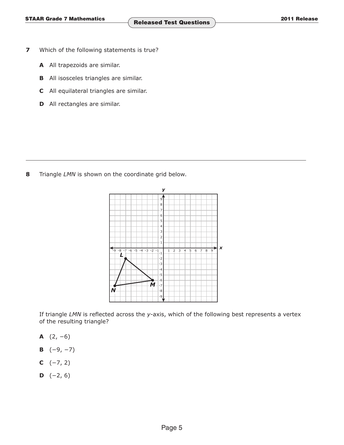- **7** Which of the following statements is true?
	- **A** All trapezoids are similar.
	- **B** All isosceles triangles are similar.
	- **C** All equilateral triangles are similar.
	- **D** All rectangles are similar.

**8** Triangle *LMN* is shown on the coordinate grid below.



If triangle *LMN* is reflected across the *y*-axis, which of the following best represents a vertex of the resulting triangle?

- **A** (2, −6)
- **B**  $(-9, -7)$
- **C**  $(-7, 2)$
- **D**  $(-2, 6)$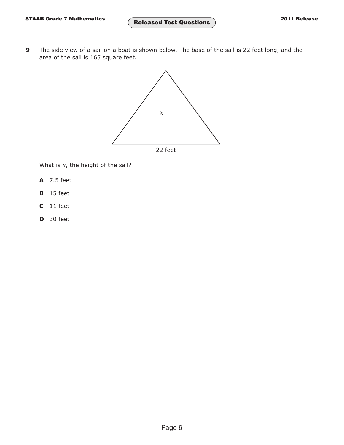**9** The side view of a sail on a boat is shown below. The base of the sail is 22 feet long, and the area of the sail is 165 square feet.



What is *x*, the height of the sail?

- **A** 7.5 feet
- **B** 15 feet
- **C** 11 feet
- **D** 30 feet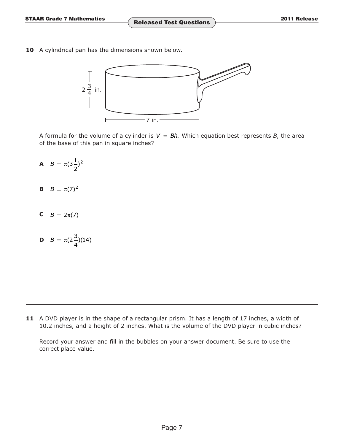**10** A cylindrical pan has the dimensions shown below.



A formula for the volume of a cylinder is  $V = Bh$ . Which equation best represents *B*, the area of the base of this pan in square inches?

- **A**  $B = \pi(3\frac{1}{2})^2$  $2^{'}$
- **B**  $B = \pi(7)^2$
- **C**  $B = 2\pi(7)$
- **D**  $B = \pi(2\frac{3}{4})(14)$

**11** A DVD player is in the shape of a rectangular prism. It has a length of 17 inches, a width of 10.2 inches, and a height of 2 inches. What is the volume of the DVD player in cubic inches?

Record your answer and fill in the bubbles on your answer document. Be sure to use the correct place value.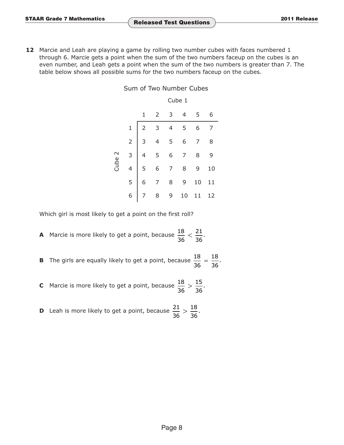**12** Marcie and Leah are playing a game by rolling two number cubes with faces numbered 1 through 6. Marcie gets a point when the sum of the two numbers faceup on the cubes is an even number, and Leah gets a point when the sum of the two numbers is greater than 7. The table below shows all possible sums for the two numbers faceup on the cubes.

|        | Cube 1 |  |  |                             |  |  |
|--------|--------|--|--|-----------------------------|--|--|
|        |        |  |  | $3 \quad 4 \quad 5 \quad 6$ |  |  |
| Cube 2 |        |  |  |                             |  |  |
|        |        |  |  |                             |  |  |
|        |        |  |  |                             |  |  |
|        |        |  |  |                             |  |  |
|        |        |  |  |                             |  |  |
|        |        |  |  |                             |  |  |

Sum of Two Number Cubes

Which girl is most likely to get a point on the first roll?

**A** Marcie is more likely to get a point, because  $\frac{18}{36} < \frac{21}{36}$ .

**B** The girls are equally likely to get a point, because  $\frac{18}{36} = \frac{18}{36}$ .

**C** Marcie is more likely to get a point, because  $\frac{18}{36} > \frac{15}{36}$ .

**D** Leah is more likely to get a point, because  $\frac{21}{36} > \frac{18}{36}$ .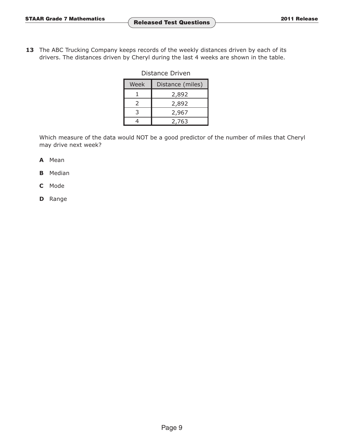13 The ABC Trucking Company keeps records of the weekly distances driven by each of its drivers. The distances driven by Cheryl during the last 4 weeks are shown in the table.

| Distance Driven |  |
|-----------------|--|
|-----------------|--|

| Week | Distance (miles) |  |  |
|------|------------------|--|--|
|      | 2,892            |  |  |
|      | 2,892            |  |  |
|      | 2,967            |  |  |
|      | 2.763            |  |  |

Which measure of the data would NOT be a good predictor of the number of miles that Cheryl may drive next week?

- **A** Mean
- **B** Median
- **C** Mode
- **D** Range